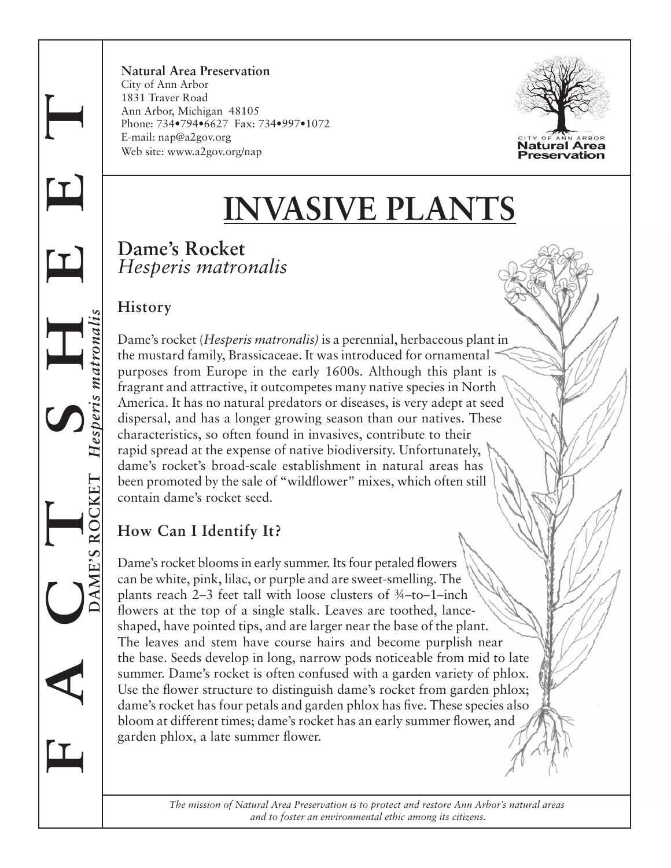**F A C T S H E E T DAME'S ROCKET** *Hesperis matronalis* matrona

**Natural Area Preservation** City of Ann Arbor 1831 Traver Road Ann Arbor, Michigan 48105 Phone: 734•794•6627 Fax: 734•997•1072 E-mail: nap@a2gov.org Web site: www.a2gov.org/nap



# **INVASIVE PLANTS**

## **Dame's Rocket** *Hesperis matronalis*

#### **History**

Dame's rocket (*Hesperis matronalis)* is a perennial, herbaceous plant in the mustard family, Brassicaceae. It was introduced for ornamental purposes from Europe in the early 1600s. Although this plant is fragrant and attractive, it outcompetes many native species in North America. It has no natural predators or diseases, is very adept at seed dispersal, and has a longer growing season than our natives. These characteristics, so often found in invasives, contribute to their rapid spread at the expense of native biodiversity. Unfortunately, dame's rocket's broad-scale establishment in natural areas has been promoted by the sale of "wildflower" mixes, which often still contain dame's rocket seed.

## **How Can I Identify It?**

Dame's rocket blooms in early summer. Its four petaled flowers can be white, pink, lilac, or purple and are sweet-smelling. The plants reach 2–3 feet tall with loose clusters of ¾–to–1–inch flowers at the top of a single stalk. Leaves are toothed, lanceshaped, have pointed tips, and are larger near the base of the plant. The leaves and stem have course hairs and become purplish near the base. Seeds develop in long, narrow pods noticeable from mid to late summer. Dame's rocket is often confused with a garden variety of phlox. Use the flower structure to distinguish dame's rocket from garden phlox; dame's rocket has four petals and garden phlox has five. These species also bloom at different times; dame's rocket has an early summer flower, and garden phlox, a late summer flower.

> *The mission of Natural Area Preservation is to protect and restore Ann Arbor's natural areas and to foster an environmental ethic among its citizens.*